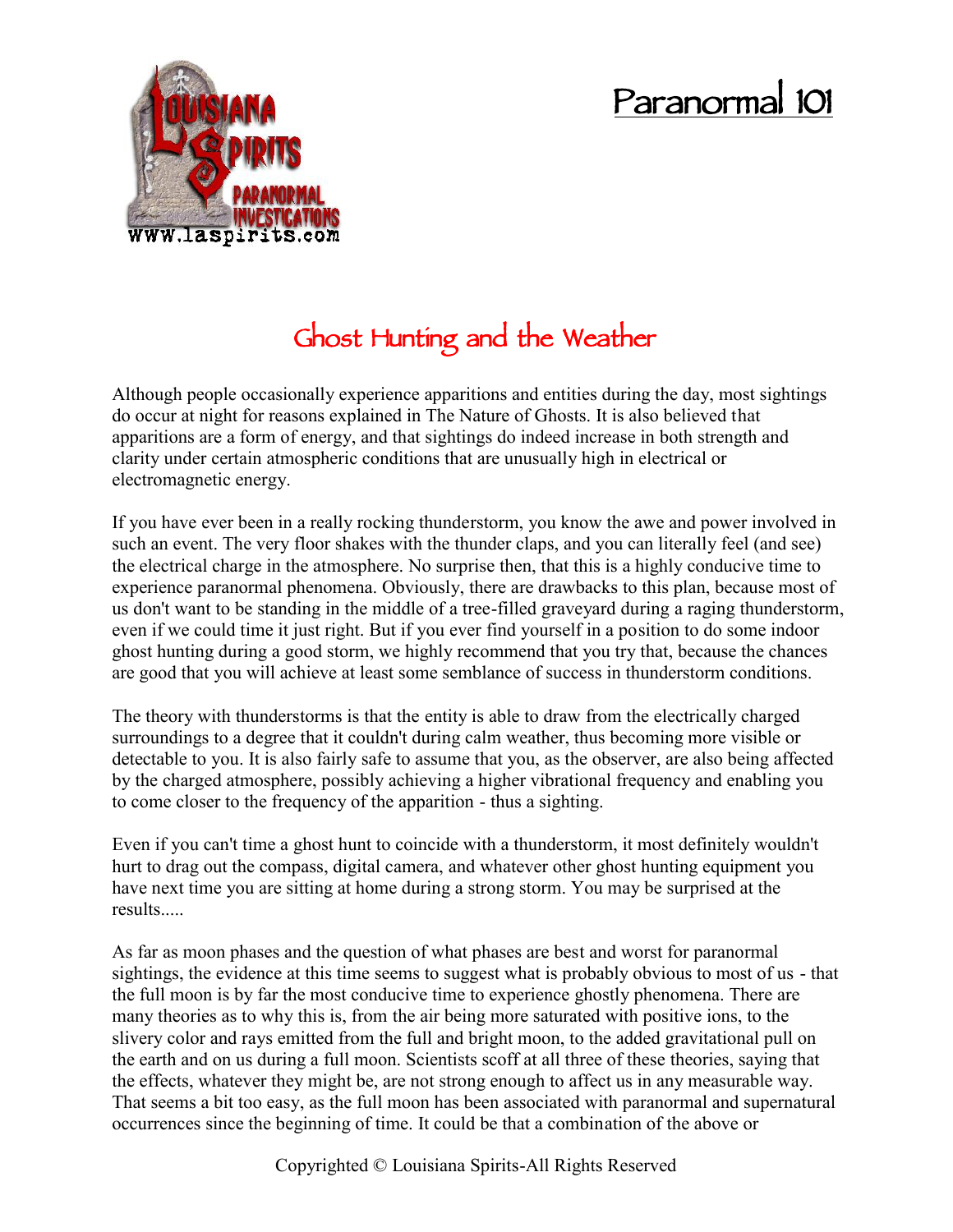## **Paranormal 101**



## **Ghost Hunting and the Weather**

Although people occasionally experience apparitions and entities during the day, most sightings do occur at night for reasons explained in The Nature of Ghosts. It is also believed that apparitions are a form of energy, and that sightings do indeed increase in both strength and clarity under certain atmospheric conditions that are unusually high in electrical or electromagnetic energy.

If you have ever been in a really rocking thunderstorm, you know the awe and power involved in such an event. The very floor shakes with the thunder claps, and you can literally feel (and see) the electrical charge in the atmosphere. No surprise then, that this is a highly conducive time to experience paranormal phenomena. Obviously, there are drawbacks to this plan, because most of us don't want to be standing in the middle of a tree-filled graveyard during a raging thunderstorm, even if we could time it just right. But if you ever find yourself in a position to do some indoor ghost hunting during a good storm, we highly recommend that you try that, because the chances are good that you will achieve at least some semblance of success in thunderstorm conditions.

The theory with thunderstorms is that the entity is able to draw from the electrically charged surroundings to a degree that it couldn't during calm weather, thus becoming more visible or detectable to you. It is also fairly safe to assume that you, as the observer, are also being affected by the charged atmosphere, possibly achieving a higher vibrational frequency and enabling you to come closer to the frequency of the apparition - thus a sighting.

Even if you can't time a ghost hunt to coincide with a thunderstorm, it most definitely wouldn't hurt to drag out the compass, digital camera, and whatever other ghost hunting equipment you have next time you are sitting at home during a strong storm. You may be surprised at the results.....

As far as moon phases and the question of what phases are best and worst for paranormal sightings, the evidence at this time seems to suggest what is probably obvious to most of us - that the full moon is by far the most conducive time to experience ghostly phenomena. There are many theories as to why this is, from the air being more saturated with positive ions, to the slivery color and rays emitted from the full and bright moon, to the added gravitational pull on the earth and on us during a full moon. Scientists scoff at all three of these theories, saying that the effects, whatever they might be, are not strong enough to affect us in any measurable way. That seems a bit too easy, as the full moon has been associated with paranormal and supernatural occurrences since the beginning of time. It could be that a combination of the above or